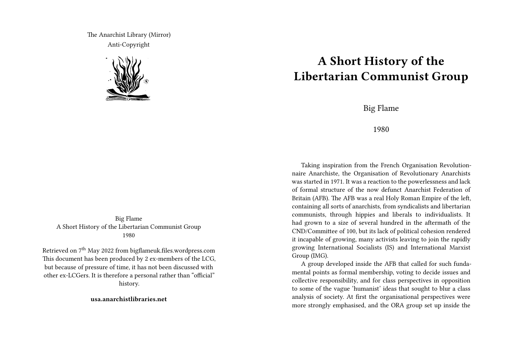The Anarchist Library (Mirror) Anti-Copyright



Big Flame A Short History of the Libertarian Communist Group 1980

Retrieved on 7<sup>th</sup> May 2022 from bigflameuk.files.wordpress.com This document has been produced by 2 ex-members of the LCG, but because of pressure of time, it has not been discussed with other ex-LCGers. It is therefore a personal rather than "official" history.

**usa.anarchistlibraries.net**

## **A Short History of the Libertarian Communist Group**

Big Flame

## 1980

Taking inspiration from the French Organisation Revolutionnaire Anarchiste, the Organisation of Revolutionary Anarchists was started in 1971. It was a reaction to the powerlessness and lack of formal structure of the now defunct Anarchist Federation of Britain (AFB). The AFB was a real Holy Roman Empire of the left, containing all sorts of anarchists, from syndicalists and libertarian communists, through hippies and liberals to individualists. It had grown to a size of several hundred in the aftermath of the CND/Committee of 100, but its lack of political cohesion rendered it incapable of growing, many activists leaving to join the rapidly growing International Socialists (IS) and International Marxist Group (IMG).

A group developed inside the AFB that called for such fundamental points as formal membership, voting to decide issues and collective responsibility, and for class perspectives in opposition to some of the vague 'humanist' ideas that sought to blur a class analysis of society. At first the organisational perspectives were more strongly emphasised, and the ORA group set up inside the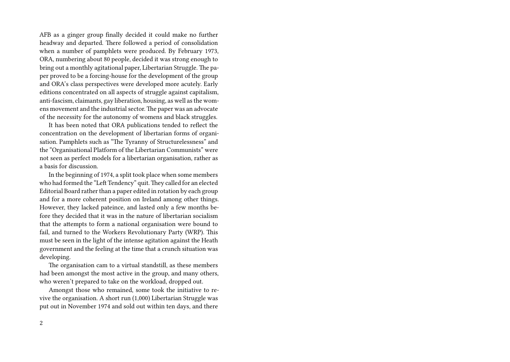AFB as a ginger group finally decided it could make no further headway and departed. There followed a period of consolidation when a number of pamphlets were produced. By February 1973, ORA, numbering about 80 people, decided it was strong enough to bring out a monthly agitational paper, Libertarian Struggle. The paper proved to be a forcing-house for the development of the group and ORA's class perspectives were developed more acutely. Early editions concentrated on all aspects of struggle against capitalism, anti-fascism, claimants, gay liberation, housing, as well as the womens movement and the industrial sector. The paper was an advocate of the necessity for the autonomy of womens and black struggles.

It has been noted that ORA publications tended to reflect the concentration on the development of libertarian forms of organisation. Pamphlets such as "The Tyranny of Structurelessness" and the "Organisational Platform of the Libertarian Communists" were not seen as perfect models for a libertarian organisation, rather as a basis for discussion.

In the beginning of 1974, a split took place when some members who had formed the "Left Tendency" quit.They called for an elected Editorial Board rather than a paper edited in rotation by each group and for a more coherent position on Ireland among other things. However, they lacked pateince, and lasted only a few months before they decided that it was in the nature of libertarian socialism that the attempts to form a national organisation were bound to fail, and turned to the Workers Revolutionary Party (WRP). This must be seen in the light of the intense agitation against the Heath government and the feeling at the time that a crunch situation was developing.

The organisation cam to a virtual standstill, as these members had been amongst the most active in the group, and many others, who weren't prepared to take on the workload, dropped out.

Amongst those who remained, some took the initiative to revive the organisation. A short run (1,000) Libertarian Struggle was put out in November 1974 and sold out within ten days, and there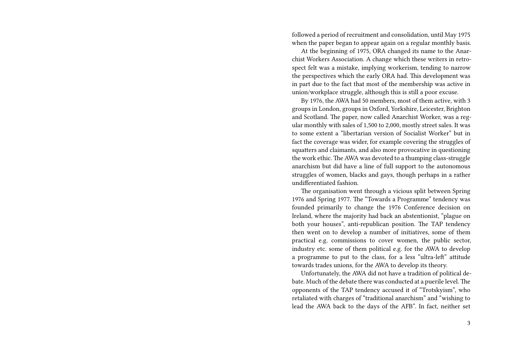followed a period of recruitment and consolidation, until May 1975 when the paper began to appear again on a regular monthly basis.

At the beginning of 1975, ORA changed its name to the Anarchist Workers Association. A change which these writers in retrospect felt was a mistake, implying workerism, tending to narrow the perspectives which the early ORA had. This development was in part due to the fact that most of the membership was active in union/workplace struggle, although this is still a poor excuse.

By 1976, the AWA had 50 members, most of them active, with 3 groups in London, groups in Oxford, Yorkshire, Leicester, Brighton and Scotland. The paper, now called Anarchist Worker, was a regular monthly with sales of 1,500 to 2,000, mostly street sales. It was to some extent a "libertarian version of Socialist Worker" but in fact the coverage was wider, for example covering the struggles of squatters and claimants, and also more provocative in questioning the work ethic. The AWA was devoted to a thumping class-struggle anarchism but did have a line of full support to the autonomous struggles of women, blacks and gays, though perhaps in a rather undifferentiated fashion.

The organisation went through a vicious split between Spring 1976 and Spring 1977. The "Towards a Programme" tendency was founded primarily to change the 1976 Conference decision on Ireland, where the majority had back an abstentionist, "plague on both your houses", anti-republican position. The TAP tendency then went on to develop a number of initiatives, some of them practical e.g. commissions to cover women, the public sector, industry etc. some of them political e.g. for the AWA to develop a programme to put to the class, for a less "ultra-left" attitude towards trades unions, for the AWA to develop its theory.

Unfortunately, the AWA did not have a tradition of political debate. Much of the debate there was conducted at a puerile level. The opponents of the TAP tendency accused it of "Trotskyism", who retaliated with charges of "traditional anarchism" and "wishing to lead the AWA back to the days of the AFB". In fact, neither set